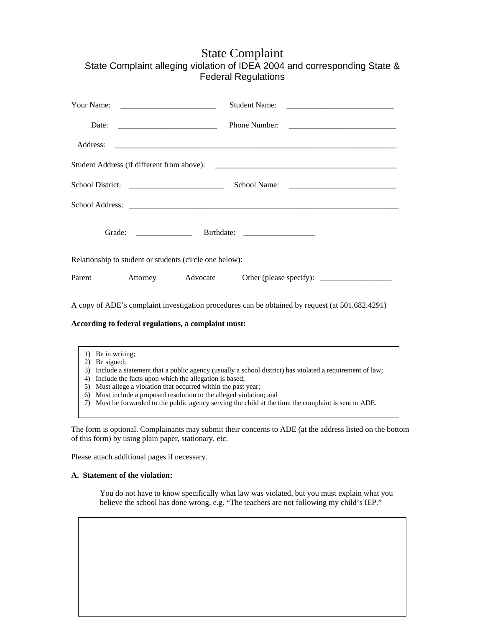## State Complaint State Complaint alleging violation of IDEA 2004 and corresponding State & Federal Regulations

| Date:<br><u> 2000 - Jan James James Barnett, filozof eta idazlea (</u> |                                                         |  |                                                                                                 |
|------------------------------------------------------------------------|---------------------------------------------------------|--|-------------------------------------------------------------------------------------------------|
| Address:                                                               |                                                         |  |                                                                                                 |
|                                                                        |                                                         |  |                                                                                                 |
|                                                                        |                                                         |  |                                                                                                 |
|                                                                        |                                                         |  |                                                                                                 |
|                                                                        |                                                         |  |                                                                                                 |
|                                                                        | Relationship to student or students (circle one below): |  |                                                                                                 |
|                                                                        | Parent Attorney Advocate                                |  |                                                                                                 |
|                                                                        |                                                         |  | A copy of ADE's complaint investigation procedures can be obtained by request (at 501.682.4291) |
|                                                                        | According to federal regulations, a complaint must:     |  |                                                                                                 |
|                                                                        |                                                         |  |                                                                                                 |
| 1) Be in writing;                                                      |                                                         |  |                                                                                                 |

- 2) Be signed;
- 3) Include a statement that a public agency (usually a school district) has violated a requirement of law;
- 4) Include the facts upon which the allegation is based;
- 5) Must allege a violation that occurred within the past year;
- 6) Must include a proposed resolution to the alleged violation; and
- 7) Must be forwarded to the public agency serving the child at the time the complaint is sent to ADE.

The form is optional. Complainants may submit their concerns to ADE (at the address listed on the bottom of this form) by using plain paper, stationary, etc.

Please attach additional pages if necessary.

## **A. Statement of the violation:**

You do not have to know specifically what law was violated, but you must explain what you believe the school has done wrong, e.g. "The teachers are not following my child's IEP."